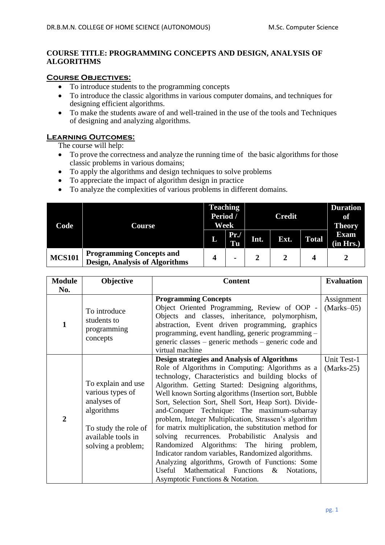### **COURSE TITLE: PROGRAMMING CONCEPTS AND DESIGN, ANALYSIS OF ALGORITHMS**

#### **Course Objectives:**

- To introduce students to the programming concepts
- To introduce the classic algorithms in various computer domains, and techniques for designing efficient algorithms.
- To make the students aware of and well-trained in the use of the tools and Techniques of designing and analyzing algorithms.

#### **Learning Outcomes:**

The course will help:

- To prove the correctness and analyze the running time of the basic algorithms for those classic problems in various domains;
- To apply the algorithms and design techniques to solve problems
- To appreciate the impact of algorithm design in practice
- To analyze the complexities of various problems in different domains.

| Code          | Course                                                                   | <b>Teaching</b><br>Period /<br>Week |           | <b>Credit</b> |      |              | <b>Duration</b><br>of<br><b>Theory</b> |
|---------------|--------------------------------------------------------------------------|-------------------------------------|-----------|---------------|------|--------------|----------------------------------------|
|               |                                                                          | L                                   | Pr.<br>Tu | Int.          | Ext. | <b>Total</b> | <b>Exam</b><br>(in Hrs.)               |
| <b>MCS101</b> | <b>Programming Concepts and</b><br><b>Design, Analysis of Algorithms</b> |                                     |           |               |      |              |                                        |

| <b>Module</b>  | Objective                                                                                                                               | <b>Content</b>                                                                                                                                                                                                                                                                                                                                                                                                                                                                                                                                                                                                                                                                                                                                                                                              | <b>Evaluation</b>           |
|----------------|-----------------------------------------------------------------------------------------------------------------------------------------|-------------------------------------------------------------------------------------------------------------------------------------------------------------------------------------------------------------------------------------------------------------------------------------------------------------------------------------------------------------------------------------------------------------------------------------------------------------------------------------------------------------------------------------------------------------------------------------------------------------------------------------------------------------------------------------------------------------------------------------------------------------------------------------------------------------|-----------------------------|
| No.            |                                                                                                                                         |                                                                                                                                                                                                                                                                                                                                                                                                                                                                                                                                                                                                                                                                                                                                                                                                             |                             |
|                | To introduce<br>students to<br>programming<br>concepts                                                                                  | <b>Programming Concepts</b><br>Object Oriented Programming, Review of OOP -<br>Objects and classes, inheritance, polymorphism,<br>abstraction, Event driven programming, graphics<br>programming, event handling, generic programming -<br>generic classes – generic methods – generic code and<br>virtual machine                                                                                                                                                                                                                                                                                                                                                                                                                                                                                          | Assignment<br>$(Marks-05)$  |
| $\overline{2}$ | To explain and use<br>various types of<br>analyses of<br>algorithms<br>To study the role of<br>available tools in<br>solving a problem; | <b>Design strategies and Analysis of Algorithms</b><br>Role of Algorithms in Computing: Algorithms as a<br>technology, Characteristics and building blocks of<br>Algorithm. Getting Started: Designing algorithms,<br>Well known Sorting algorithms (Insertion sort, Bubble<br>Sort, Selection Sort, Shell Sort, Heap Sort). Divide-<br>and-Conquer Technique: The maximum-subarray<br>problem, Integer Multiplication, Strassen's algorithm<br>for matrix multiplication, the substitution method for<br>solving recurrences. Probabilistic Analysis and<br>Randomized Algorithms: The hiring problem,<br>Indicator random variables, Randomized algorithms.<br>Analyzing algorithms, Growth of Functions: Some<br>Useful Mathematical Functions<br>$\&$<br>Notations,<br>Asymptotic Functions & Notation. | Unit Test-1<br>$(Marks-25)$ |